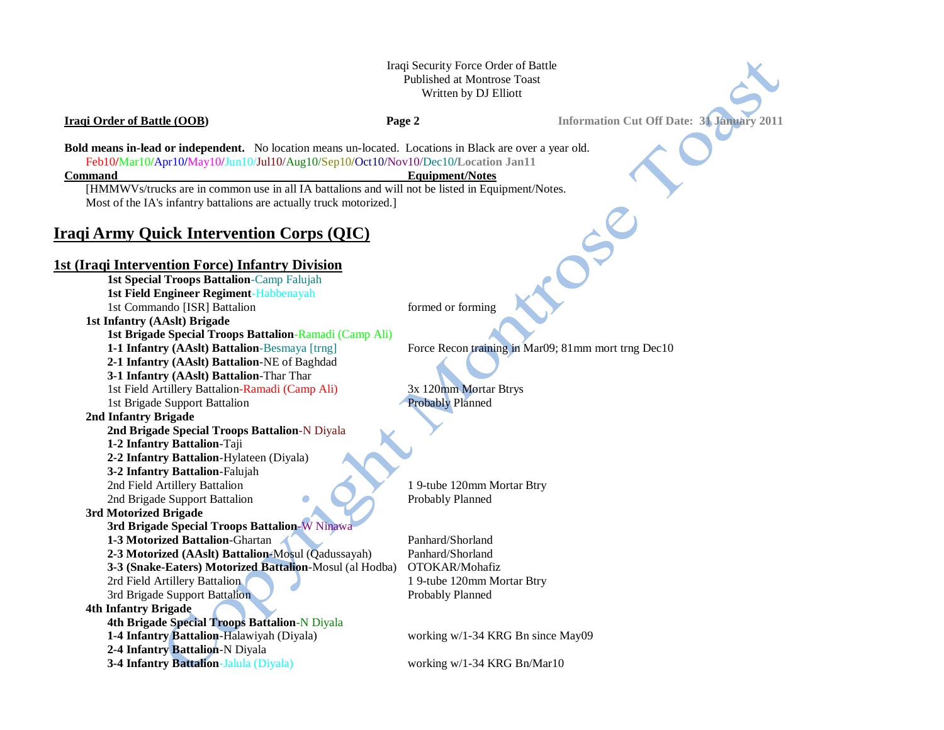### Iraqi Security Force Order of Battle Published at Montrose Toast Written by DJ Elliott

**Iraqi Order of Battle (OOB) Page 2 Information Cut Off Date: 31 January 2011**

**Bold means in-lead or independent.** No location means un-located. Locations in Black are over a year old. Feb10**/**Mar10**/**Apr10**/**May10**/**Jun10/Jul10/Aug10/Sep10**/**Oct10/Nov10/Dec10**/Location Jan11**

#### **Command Equipment/Notes**

[HMMWVs/trucks are in common use in all IA battalions and will not be listed in Equipment/Notes. Most of the IA's infantry battalions are actually truck motorized.]

# **Iraqi Army Quick Intervention Corps (QIC)**

### **1st (Iraqi Intervention Force) Infantry Division**

**1st Special Troops Battalion**-Camp Falujah **1st Field Engineer Regiment**-Habbenayah 1st Commando [ISR] Battalion formed or forming **1st Infantry (AAslt) Brigade 1st Brigade Special Troops Battalion**-Ramadi (Camp Ali) **1-1 Infantry (AAslt) Battalion**-Besmaya [trng] Force Recon training in Mar09; 81mm mort trng Dec10 **2-1 Infantry (AAslt) Battalion**-NE of Baghdad **3-1 Infantry (AAslt) Battalion**-Thar Thar 1st Field Artillery Battalion-Ramadi (Camp Ali) 3x 120mm Mortar Btrys 1st Brigade Support Battalion Probably Planned **2nd Infantry Brigade 2nd Brigade Special Troops Battalion**-N Diyala **1-2 Infantry Battalion**-Taji **2-2 Infantry Battalion**-Hylateen (Diyala) **3-2 Infantry Battalion**-Falujah 2nd Field Artillery Battalion 1 9-tube 120mm Mortar Btry 2nd Brigade Support Battalion Probably Planned **3rd Motorized Brigade 3rd Brigade Special Troops Battalion**-W Ninawa **1-3 Motorized Battalion-Ghartan Panhard/Shorland Panhard/Shorland 2-3 Motorized (AAslt) Battalion**-Mosul (Qadussayah) Panhard/Shorland **3-3 (Snake-Eaters) Motorized Battalion**-Mosul (al Hodba) OTOKAR/Mohafiz 2rd Field Artillery Battalion 1 9-tube 120mm Mortar Btry 3rd Brigade Support Battalion Probably Planned **4th Infantry Brigade 4th Brigade Special Troops Battalion**-N Diyala **1-4 Infantry Battalion**-Halawiyah (Diyala) working w/1-34 KRG Bn since May09 **2-4 Infantry Battalion**-N Diyala **3-4 Infantry Battalion**-Jalula (Diyala) working w/1-34 KRG Bn/Mar10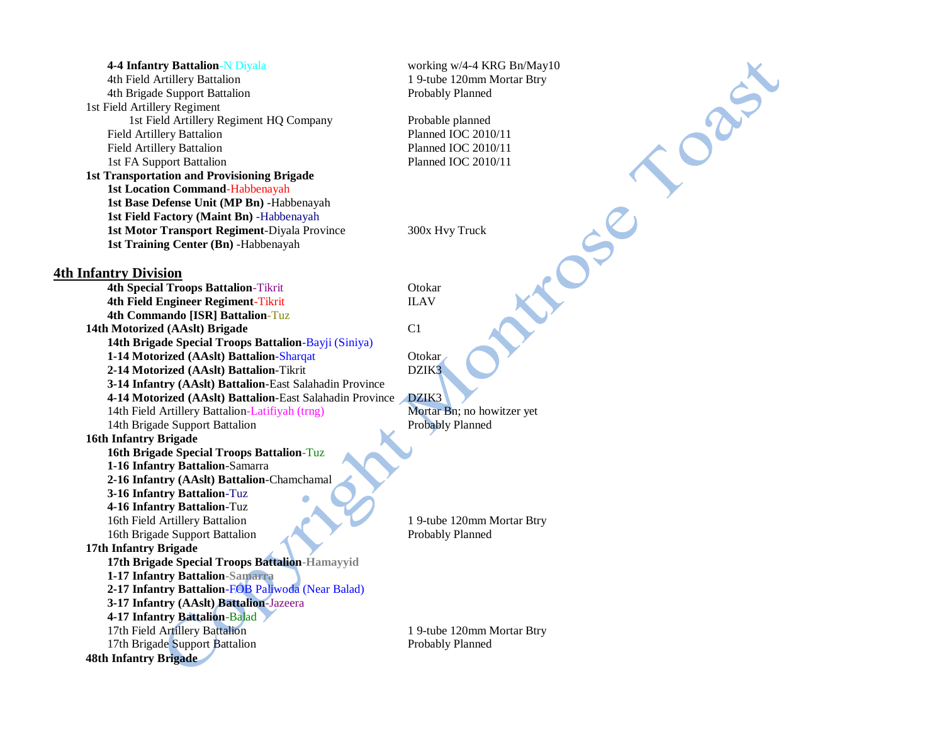| <b>4-4 Infantry Battalion-N Diyala</b><br>4th Field Artillery Battalion | working w/4-4 KRG Bn/May10<br>1 9-tube 120mm Mortar Btry |
|-------------------------------------------------------------------------|----------------------------------------------------------|
| 4th Brigade Support Battalion                                           | Probably Planned                                         |
| 1st Field Artillery Regiment                                            |                                                          |
| 1st Field Artillery Regiment HQ Company                                 | Probable planned                                         |
| Field Artillery Battalion                                               | Planned IOC 2010/11                                      |
| Field Artillery Battalion                                               | Planned IOC 2010/11                                      |
| 1st FA Support Battalion                                                | Planned IOC 2010/11                                      |
| <b>1st Transportation and Provisioning Brigade</b>                      |                                                          |
| <b>1st Location Command-Habbenayah</b>                                  |                                                          |
| 1st Base Defense Unit (MP Bn) - Habbenayah                              |                                                          |
| 1st Field Factory (Maint Bn) - Habbenayah                               |                                                          |
| 1st Motor Transport Regiment-Diyala Province                            | 300x Hvy Truck                                           |
| 1st Training Center (Bn) -Habbenayah                                    |                                                          |
| <b>4th Infantry Division</b>                                            |                                                          |
| <b>4th Special Troops Battalion-Tikrit</b>                              | Otokar                                                   |
| 4th Field Engineer Regiment-Tikrit                                      | <b>ILAV</b>                                              |
| 4th Commando [ISR] Battalion-Tuz                                        |                                                          |
| 14th Motorized (AAslt) Brigade                                          | C <sub>1</sub>                                           |
| 14th Brigade Special Troops Battalion-Bayji (Siniya)                    |                                                          |
| 1-14 Motorized (AAslt) Battalion-Sharqat                                | Otokar                                                   |
| 2-14 Motorized (AAslt) Battalion-Tikrit                                 | DZIK3                                                    |
| 3-14 Infantry (AAslt) Battalion-East Salahadin Province                 |                                                          |
| 4-14 Motorized (AAslt) Battalion-East Salahadin Province                | DZIK3                                                    |
| 14th Field Artillery Battalion-Latifiyah (trng)                         | Mortar Bn; no howitzer yet                               |
| 14th Brigade Support Battalion                                          | <b>Probably Planned</b>                                  |
| <b>16th Infantry Brigade</b>                                            |                                                          |
| 16th Brigade Special Troops Battalion-Tuz                               |                                                          |
| 1-16 Infantry Battalion-Samarra                                         |                                                          |
| 2-16 Infantry (AAslt) Battalion-Chamchamal                              |                                                          |
| 3-16 Infantry Battalion-Tuz                                             |                                                          |
| 4-16 Infantry Battalion-Tuz                                             |                                                          |
| 16th Field Artillery Battalion                                          | 1 9-tube 120mm Mortar Btry                               |
| 16th Brigade Support Battalion                                          | Probably Planned                                         |
| 17th Infantry Brigade                                                   |                                                          |
| 17th Brigade Special Troops Battalion-Hamayyid                          |                                                          |
| 1-17 Infantry Battalion-Samarra                                         |                                                          |
| 2-17 Infantry Battalion-FOB Paliwoda (Near Balad)                       |                                                          |
| 3-17 Infantry (AAslt) Battalion-Jazeera                                 |                                                          |
| 4-17 Infantry Battalion-Balad                                           |                                                          |
| 17th Field Artillery Battalion                                          | 1 9-tube 120mm Mortar Btry                               |
| 17th Brigade Support Battalion                                          | Probably Planned                                         |
| <b>48th Infantry Brigade</b>                                            |                                                          |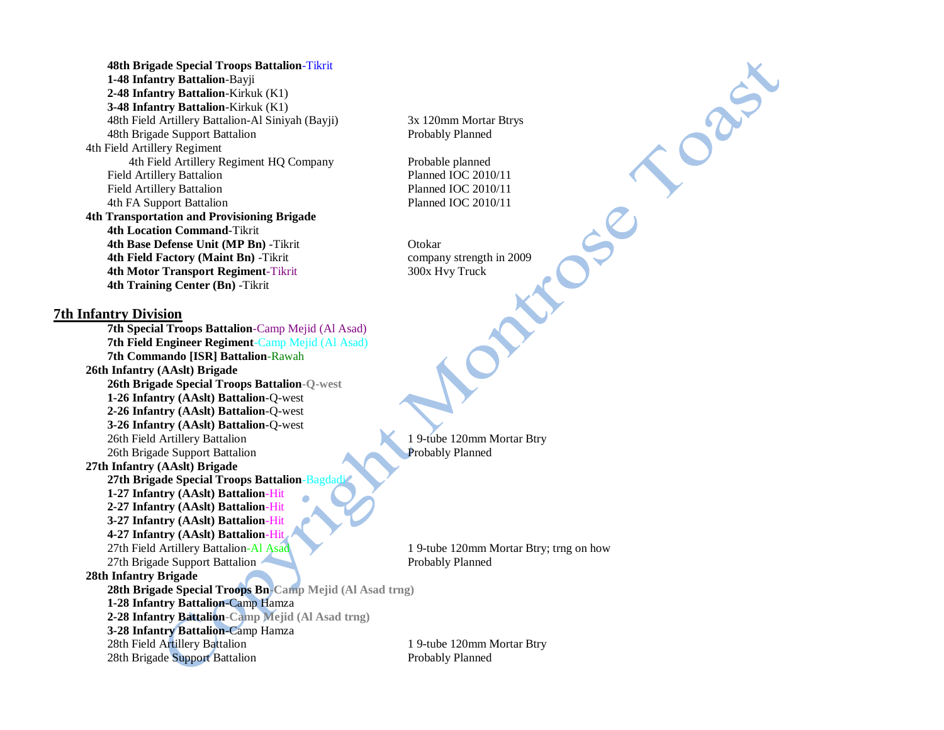**48th Brigade Special Troops Battalion**-Tikrit **1-48 Infantry Battalion**-Bayji **2-48 Infantry Battalion**-Kirkuk (K1) **3-48 Infantry Battalion**-Kirkuk (K1) 48th Field Artillery Battalion-Al Siniyah (Bayji) 3x 120mm Mortar Btrys 48th Brigade Support Battalion Probably Planned 4th Field Artillery Regiment 4th Field Artillery Regiment HQ Company Probable planned Field Artillery Battalion Planned IOC 2010/11 Field Artillery Battalion **Planned IOC 2010/11** 4th FA Support Battalion Planned IOC 2010/11 **4th Transportation and Provisioning Brigade 4th Location Command**-Tikrit **4th Base Defense Unit (MP Bn)** -Tikrit **Otokar 4th Field Factory (Maint Bn)** -Tikrit company strength in 2009 **4th Motor Transport Regiment-Tikrit 300x Hvy Truck 4th Training Center (Bn)** -Tikrit

## **7th Infantry Division**

**7th Special Troops Battalion**-Camp Mejid (Al Asad) **7th Field Engineer Regiment**-Camp Mejid (Al Asad) **7th Commando [ISR] Battalion**-Rawah **26th Infantry (AAslt) Brigade 26th Brigade Special Troops Battalion-Q-west 1-26 Infantry (AAslt) Battalion**-Q-west **2-26 Infantry (AAslt) Battalion**-Q-west **3-26 Infantry (AAslt) Battalion**-Q-west 26th Field Artillery Battalion 1 9-tube 120mm Mortar Btry 26th Brigade Support Battalion Probably Planned **27th Infantry (AAslt) Brigade 27th Brigade Special Troops Battalion-Bagd 1-27 Infantry (AAslt) Battalion**-Hit **2-27 Infantry (AAslt) Battalion**-Hit **3-27 Infantry (AAslt) Battalion**-Hit **4-27 Infantry (AAslt) Battalion**-Hit 27th Field Artillery Battalion-Al Asad 1 9-tube 120mm Mortar Btry; trng on how 27th Brigade Support Battalion Probably Planned **28th Infantry Brigade 28th Brigade Special Troops Bn-Camp Mejid (Al Asad trng) 1-28 Infantry Battalion**-Camp Hamza **2-28 Infantry Battalion-Camp Mejid (Al Asad trng) 3-28 Infantry Battalion**-Camp Hamza 28th Field Artillery Battalion 1 9-tube 120mm Mortar Btry 28th Brigade Support Battalion **Probably Planned** 

DRAIN

 $S^{\mathcal{C}}$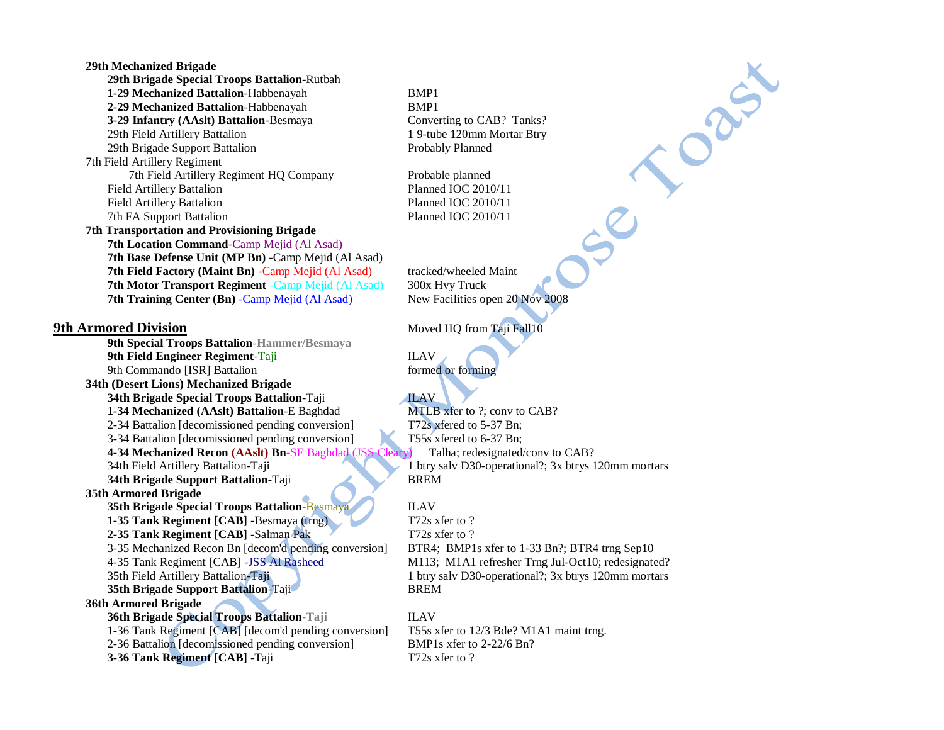| 29th Mechanized Brigade                                  |                              |
|----------------------------------------------------------|------------------------------|
| 29th Brigade Special Troops Battalion-Rutbah             |                              |
| 1-29 Mechanized Battalion-Habbenayah                     | BMP1                         |
| 2-29 Mechanized Battalion-Habbenayah                     | BMP1                         |
| 3-29 Infantry (AAslt) Battalion-Besmaya                  | Converting to CAB? Tanks?    |
| 29th Field Artillery Battalion                           | 1 9-tube 120mm Mortar Btry   |
| 29th Brigade Support Battalion                           | Probably Planned             |
| 7th Field Artillery Regiment                             |                              |
| 7th Field Artillery Regiment HQ Company                  | Probable planned             |
| <b>Field Artillery Battalion</b>                         | Planned IOC 2010/11          |
| <b>Field Artillery Battalion</b>                         | Planned IOC 2010/11          |
| 7th FA Support Battalion                                 | Planned IOC 2010/11          |
| <b>7th Transportation and Provisioning Brigade</b>       |                              |
| 7th Location Command-Camp Mejid (Al Asad)                |                              |
| 7th Base Defense Unit (MP Bn) -Camp Mejid (Al Asad)      |                              |
| 7th Field Factory (Maint Bn) -Camp Mejid (Al Asad)       | tracked/wheeled Maint        |
| 7th Motor Transport Regiment - Camp Mejid (Al Asad)      | 300x Hvy Truck               |
| 7th Training Center (Bn) -Camp Mejid (Al Asad)           | New Facilities open 20 Nov   |
| <b>9th Armored Division</b>                              | Moved HQ from Taji Fall10    |
| 9th Special Troops Battalion-Hammer/Besmaya              |                              |
| 9th Field Engineer Regiment-Taji                         | <b>ILAV</b>                  |
| 9th Commando [ISR] Battalion                             | formed or forming            |
| 34th (Desert Lions) Mechanized Brigade                   |                              |
| 34th Brigade Special Troops Battalion-Taji               | <b>ILAV</b>                  |
| 1-34 Mechanized (AAslt) Battalion-E Baghdad              | MTLB xfer to ?; conv to CA   |
| 2-34 Battalion [decomissioned pending conversion]        | T72s xfered to 5-37 Bn;      |
| 3-34 Battalion [decomissioned pending conversion]        | T55s xfered to 6-37 Bn;      |
| 4-34 Mechanized Recon (AAslt) Bn-SE Baghdad (JSS Cleary) | Talha; redesignated/con      |
| 34th Field Artillery Battalion-Taji                      | 1 btry salv D30-operational? |
| 34th Brigade Support Battalion-Taji                      | <b>BREM</b>                  |
| 35th Armored Brigade                                     |                              |
| 35th Brigade Special Troops Battalion-Besmaya            | <b>ILAV</b>                  |
| 1-35 Tank Regiment [CAB] -Besmaya (trng)                 | T72s xfer to?                |
| 2-35 Tank Regiment [CAB] -Salman Pak                     | T72s xfer to?                |
| 3-35 Mechanized Recon Bn [decom'd pending conversion]    | BTR4; BMP1s xfer to 1-33     |
| 4-35 Tank Regiment [CAB] -JSS Al Rasheed                 | M113; M1A1 refresher Trng    |
| 35th Field Artillery Battalion-Taji                      | 1 btry salv D30-operational? |
| 35th Brigade Support Battalion-Taji                      | <b>BREM</b>                  |
| 36th Armored Brigade                                     |                              |
| 36th Brigade Special Troops Battalion-Taji               | <b>ILAV</b>                  |
| 1-36 Tank Regiment [CAB] [decom'd pending conversion]    | T55s xfer to 12/3 Bde? M1A   |
| 2-36 Battalion [decomissioned pending conversion]        | BMP1s xfer to 2-22/6 Bn?     |
| 3-36 Tank Regiment [CAB] -Taji                           | T72s xfer to?                |

ORIS

 $e^{c}$ **7th Field Factory (Maint Bn)** -Camp Mejid (Al Asad) tracked/wheeled Maint 00x Hvy Truck **7th Training Center (Braining Center Associates Center Access** 

**1TLB** xfer to ?; conv to CAB?  $72s$  xfered to 5-37 Bn; 55s xfered to 6-37 Bn; Talha; redesignated/conv to CAB? btry salv D30-operational?; 3x btrys 120mm mortars

1-72s xfer to ? 72s xfer to ? 3TR4; BMP1s xfer to 1-33 Bn?; BTR4 trng Sep10 4113; M1A1 refresher Trng Jul-Oct10; redesignated? btry salv D30-operational?; 3x btrys 120mm mortars

 $155s$  xfer to  $12/3$  Bde? M1A1 maint trng. MP1s xfer to 2-22/6 Bn?